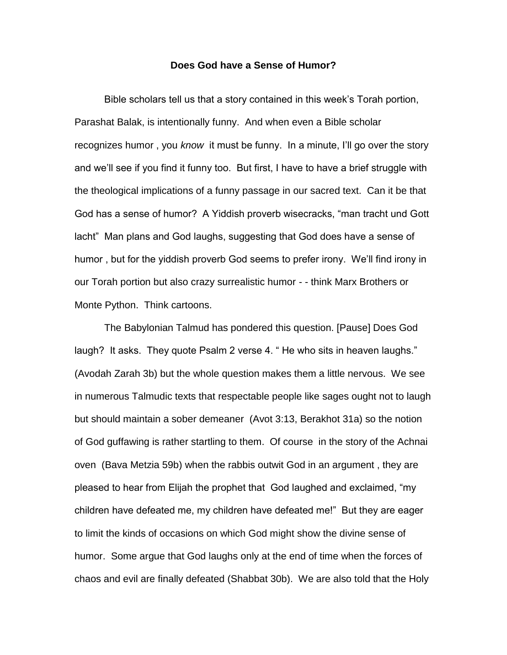## **Does God have a Sense of Humor?**

Bible scholars tell us that a story contained in this week's Torah portion, Parashat Balak, is intentionally funny. And when even a Bible scholar recognizes humor , you *know* it must be funny. In a minute, I'll go over the story and we'll see if you find it funny too. But first, I have to have a brief struggle with the theological implications of a funny passage in our sacred text. Can it be that God has a sense of humor? A Yiddish proverb wisecracks, "man tracht und Gott lacht" Man plans and God laughs, suggesting that God does have a sense of humor , but for the yiddish proverb God seems to prefer irony. We'll find irony in our Torah portion but also crazy surrealistic humor - - think Marx Brothers or Monte Python. Think cartoons.

The Babylonian Talmud has pondered this question. [Pause] Does God laugh? It asks. They quote Psalm 2 verse 4. "He who sits in heaven laughs." (Avodah Zarah 3b) but the whole question makes them a little nervous. We see in numerous Talmudic texts that respectable people like sages ought not to laugh but should maintain a sober demeaner (Avot 3:13, Berakhot 31a) so the notion of God guffawing is rather startling to them. Of course in the story of the Achnai oven (Bava Metzia 59b) when the rabbis outwit God in an argument , they are pleased to hear from Elijah the prophet that God laughed and exclaimed, "my children have defeated me, my children have defeated me!" But they are eager to limit the kinds of occasions on which God might show the divine sense of humor. Some argue that God laughs only at the end of time when the forces of chaos and evil are finally defeated (Shabbat 30b). We are also told that the Holy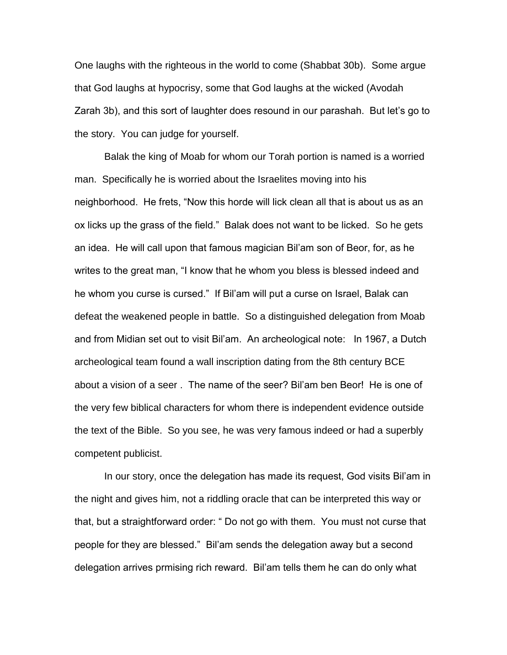One laughs with the righteous in the world to come (Shabbat 30b). Some argue that God laughs at hypocrisy, some that God laughs at the wicked (Avodah Zarah 3b), and this sort of laughter does resound in our parashah. But let's go to the story. You can judge for yourself.

Balak the king of Moab for whom our Torah portion is named is a worried man. Specifically he is worried about the Israelites moving into his neighborhood. He frets, "Now this horde will lick clean all that is about us as an ox licks up the grass of the field." Balak does not want to be licked. So he gets an idea. He will call upon that famous magician Bil'am son of Beor, for, as he writes to the great man, "I know that he whom you bless is blessed indeed and he whom you curse is cursed." If Bil'am will put a curse on Israel, Balak can defeat the weakened people in battle. So a distinguished delegation from Moab and from Midian set out to visit Bil'am. An archeological note: In 1967, a Dutch archeological team found a wall inscription dating from the 8th century BCE about a vision of a seer . The name of the seer? Bil'am ben Beor! He is one of the very few biblical characters for whom there is independent evidence outside the text of the Bible. So you see, he was very famous indeed or had a superbly competent publicist.

In our story, once the delegation has made its request, God visits Bil'am in the night and gives him, not a riddling oracle that can be interpreted this way or that, but a straightforward order: " Do not go with them. You must not curse that people for they are blessed." Bil'am sends the delegation away but a second delegation arrives prmising rich reward. Bil'am tells them he can do only what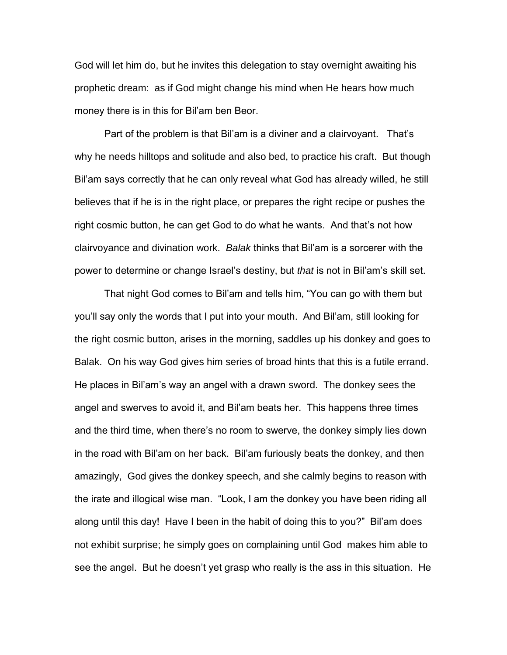God will let him do, but he invites this delegation to stay overnight awaiting his prophetic dream: as if God might change his mind when He hears how much money there is in this for Bil'am ben Beor.

Part of the problem is that Bil'am is a diviner and a clairvoyant. That's why he needs hilltops and solitude and also bed, to practice his craft. But though Bil'am says correctly that he can only reveal what God has already willed, he still believes that if he is in the right place, or prepares the right recipe or pushes the right cosmic button, he can get God to do what he wants. And that's not how clairvoyance and divination work. *Balak* thinks that Bil'am is a sorcerer with the power to determine or change Israel's destiny, but *that* is not in Bil'am's skill set.

That night God comes to Bil'am and tells him, "You can go with them but you'll say only the words that I put into your mouth. And Bil'am, still looking for the right cosmic button, arises in the morning, saddles up his donkey and goes to Balak. On his way God gives him series of broad hints that this is a futile errand. He places in Bil'am's way an angel with a drawn sword. The donkey sees the angel and swerves to avoid it, and Bil'am beats her. This happens three times and the third time, when there's no room to swerve, the donkey simply lies down in the road with Bil'am on her back. Bil'am furiously beats the donkey, and then amazingly, God gives the donkey speech, and she calmly begins to reason with the irate and illogical wise man. "Look, I am the donkey you have been riding all along until this day! Have I been in the habit of doing this to you?" Bil'am does not exhibit surprise; he simply goes on complaining until God makes him able to see the angel. But he doesn't yet grasp who really is the ass in this situation. He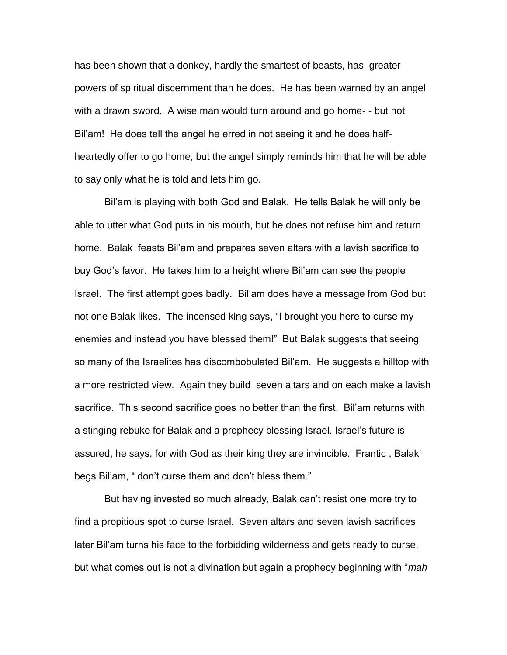has been shown that a donkey, hardly the smartest of beasts, has greater powers of spiritual discernment than he does. He has been warned by an angel with a drawn sword. A wise man would turn around and go home- - but not Bil'am! He does tell the angel he erred in not seeing it and he does halfheartedly offer to go home, but the angel simply reminds him that he will be able to say only what he is told and lets him go.

Bil'am is playing with both God and Balak. He tells Balak he will only be able to utter what God puts in his mouth, but he does not refuse him and return home. Balak feasts Bil'am and prepares seven altars with a lavish sacrifice to buy God's favor. He takes him to a height where Bil'am can see the people Israel. The first attempt goes badly. Bil'am does have a message from God but not one Balak likes. The incensed king says, "I brought you here to curse my enemies and instead you have blessed them!" But Balak suggests that seeing so many of the Israelites has discombobulated Bil'am. He suggests a hilltop with a more restricted view. Again they build seven altars and on each make a lavish sacrifice. This second sacrifice goes no better than the first. Bil'am returns with a stinging rebuke for Balak and a prophecy blessing Israel. Israel's future is assured, he says, for with God as their king they are invincible. Frantic , Balak' begs Bil'am, " don't curse them and don't bless them."

But having invested so much already, Balak can't resist one more try to find a propitious spot to curse Israel. Seven altars and seven lavish sacrifices later Bil'am turns his face to the forbidding wilderness and gets ready to curse, but what comes out is not a divination but again a prophecy beginning with "*mah*